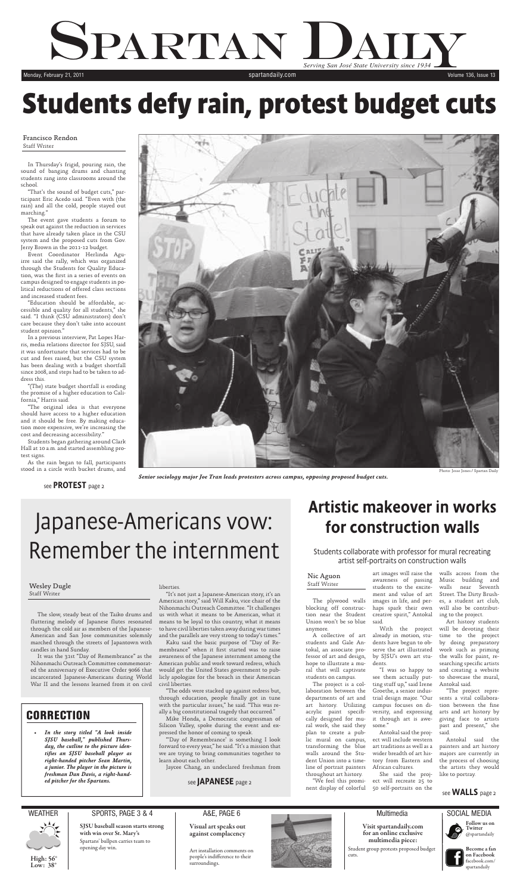

**High: 56° Low: 38°**

### NEATHER I SPORTS, PAGE 3 & 4 I A&E, PAGE 6 I Multimedia I Multimedia I SOCIAL MEDIA

**Become a fan B on Facebook o** facebook.com/ f spartandaily s



A&E, PAGE 6

**Visual art speaks out against complacency**

Art installation comments on people's indifference to their surroundings.



### **Multimedia**

**SJSU baseball season starts strong with win over St. Mary's** Spartans' bullpen carries team to opening day win.

**Visit spartandaily.com for an online exclusive multimedia piece:**

Student group protests proposed budget cuts.

## SPARTAN D *Serving San José State University since 1934* State University since 1934 Monday, February 21, 2011 **Subset Contract Contract Contract Contract Contract Contract Contract Contract Contract Contract Contract Contract Contract Contract Contract Contract Contract Contract Contract Contract Contract**

# **Students defy rain, protest budget cuts**

Photo: Jesse Jones / Spartan Daily



*Senior sociology major Joe Tran leads protesters across campus, opposing proposed budget cuts.*

In Thursday's frigid, pouring rain, the sound of banging drums and chanting students rang into classrooms around the school.

"That's the sound of budget cuts," participant Eric Acedo said. "Even with (the rain) and all the cold, people stayed out marching."

The event gave students a forum to speak out against the reduction in services that have already taken place in the CSU system and the proposed cuts from Gov. Jerry Brown in the 2011-12 budget.

Event Coordinator Herlinda Aguirre said the rally, which was organized through the Students for Quality Education, was the first in a series of events on campus designed to engage students in political reductions of offered class sections and increased student fees.

"Education should be affordable, accessible and quality for all students," she said. "I think (CSU administrators) don't care because they don't take into account student opinion."

In a previous interview, Pat Lopes Harris, media relations director for SJSU, said it was unfortunate that services had to be cut and fees raised, but the CSU system has been dealing with a budget shortfall since 2008, and steps had to be taken to address this.

"(The) state budget shortfall is eroding the promise of a higher education to California," Harris said.

"The original idea is that everyone should have access to a higher education and it should be free. By making education more expensive, we're increasing the cost and decreasing accessibility."

> *• In the story titled "A look inside SJSU baseball," published Thursday, the cutline to the picture identifi es an SJSU baseball player as right-handed pitcher Sean Martin, a junior. The player in the picture is freshman Dan Davis, a right-handed pitcher for the Spartans.*  $\qquad \qquad$  see JAPANESE page 2

Students began gathering around Clark Hall at 10 a.m. and started assembling protest signs.

As the rain began to fall, participants stood in a circle with bucket drums, and

Francisco Rendon Staff Writer

see PROTEST page 2

# Japanese-Americans vow: Remember the internment

The plywood walls blocking off construction near the Student Union won't be so blue anymore.

A collective of art students and Gale Antokal, an associate professor of art and design, hope to illustrate a mural that will captivate students on campus.

The project is a collaboration between the departments of art and art history. Utilizing acrylic paint specifically designed for mural work, she said they plan to create a public mural on campus, transforming the blue walls around the Student Union into a timeline of portrait painters throughout art history.

"We feel this prominent display of colorful

art images will raise the walls across from the awareness of passing students to the exciteimages in life, and percreative spirit," Antokal said.

already in motion, students have begun to observe the art illustrated by SJSU's own art students.

see them actually putting stuff up," said Irene Groethe, a senior industrial design major. "Our campus focuses on diversity, and expressing it through art is awesome."

ment and value of art Street. The Dirty Brushhaps spark their own will also be contribut-Music building and walls near Seventh es, a student art club, ing to the project.

Antokal said the project will include western art traditions as well as a wider breadth of art history from Eastern and African cultures.

With the project will be devoting their "I was so happy to and creating a website Art history students time to the project by doing preparatory work such as priming the walls for paint, researching specific artists to showcase the mural, Antokal said.

She said the project will recreate 25 to 50 self-portraits on the

"The project represents a vital collaboration between the fine arts and art history by giving face to artists past and present," she said.

Antokal said the painters and art history majors are currently in the process of choosing the artists they would like to portray.

see **WALLS** page 2

## Artistic makeover in works

## for construction walls

### Nic Aguon Staff Writer

### **CORRECTION**

The slow, steady beat of the Taiko drums and fluttering melody of Japanese flutes resonated through the cold air as members of the Japanese-American and San Jose communities solemnly marched through the streets of Japantown with candles in hand Sunday.

It was the 31st "Day of Remembrance" as the Nihonmachi Outreach Committee commemorated the anniversary of Executive Order 9066 that incarcerated Japanese-Americans during World War II and the lessons learned from it on civil

### liberties.

"It's not just a Japanese-American story, it's an American story," said Will Kaku, vice chair of the Nihonmachi Outreach Committee. "It challenges us with what it means to be American, what it means to be loyal to this country, what it means to have civil liberties taken away during war times and the parallels are very strong to today's times."

Kaku said the basic purpose of "Day of Remembrance" when it first started was to raise awareness of the Japanese internment among the American public and work toward redress, which would get the United States government to publicly apologize for the breach in their American civil liberties.

"The odds were stacked up against redress but, through education, people finally got in tune with the particular issues," he said. "This was really a big constitutional tragedy that occurred."

Mike Honda, a Democratic congressman of Silicon Valley, spoke during the event and expressed the honor of coming to speak.

"'Day of Remembrance' is something I look forward to every year," he said. "It's a mission that we are trying to bring communities together to learn about each other.

Jaycee Chang, an undeclared freshman from

Students collaborate with professor for mural recreating artist self-portraits on construction walls

Wesley Dugle Staff Writer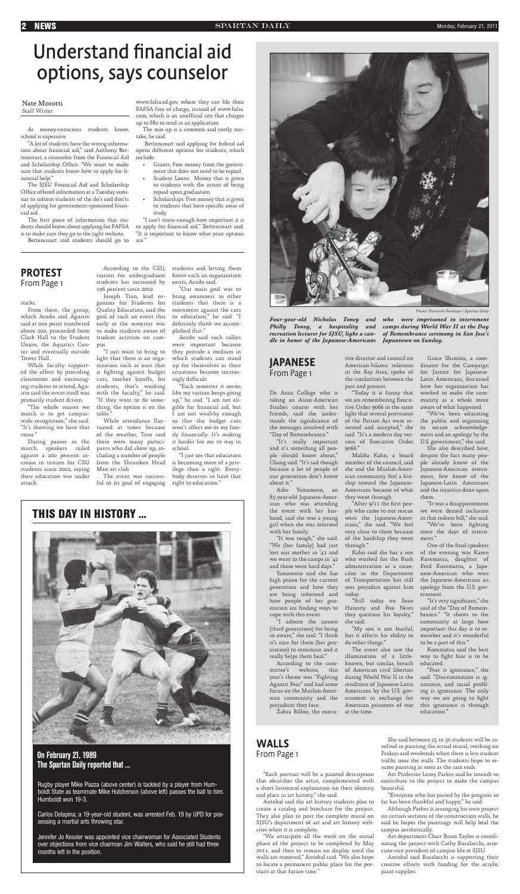sticks.

From there, the group, which Acedo and Aguirre said at one point numbered above 200, proceeded from Clark Hall to the Student Union, the Aquatics Center and eventually outside Tower Hall.

While faculty supported the effort by providing classrooms and encouraging students to attend, Aguirre said the event itself was primarily student driven.

"The whole reason we march is to get campuswide recognition," she said. "It's showing we have that voice."

During pauses in the march, speakers railed against a 200 percent increase in tuition for CSU students since 2002, saying their education was under attack.

While attendance fluctuated at times because of the weather, Tran said there were many participants who did show up, including a number of people from the Shrunken Head Man art club.

According to the CSU, tuition for undergraduate students has increased by 196 percent since 2002.

Joseph Tran, lead organizer for Students for Quality Education, said the goal of such an event this early in the semester was to make students aware of student activism on campus.

Acedo said such rallies were important because they provide a medium in which students can stand up for themselves as their situations become increasingly difficult.

"I just want to bring to light that there is an organization such as ours that is fighting against budget cuts, teacher layoffs, for students, that's working with the faculty," he said. "If they want to do something, the option is on the table."

The event was successful in its goal of engaging

The first piece of information that students should know about applying for FAFSA is to make sure they go to the right website.

> students and letting them know such an organization exists, Acedo said.

www.fafsa.ed.gov, where they can file their FAFSA free of charge, instead of www.fafsa. com, which is an unofficial site that charges up to \$80 to send in an application.

> "Our main goal was to bring awareness to other students that there is a movement against the cuts to education," he said. "I definitely think we accomplished that."

> "Each semester it seems like my tuition keeps going up," he said. "I am not eligible for financial aid, but I am not wealthy enough so that the budget cuts won't affect me or my family financially. It's making it harder for me to stay in school.

"I just see that education is becoming more of a privilege than a right. Everybody deserves to have that right to education."

As money-conscious students know, school is expensive.

"A lot of students have the wrong information about financial aid," said Anthony Bettencourt, a counselor from the Financial Aid and Scholarship Office. "We want to make sure that students know how to apply for financial help."

The SJSU Financial Aid and Scholarship Office offered information at a Tuesday seminar to inform students of the do's and don'ts of applying for government-sponsored financial aid.

Bettencourt said students should go to

### **2 NEWS** Monday, February 21, 2011

# Understand financial aid options, says counselor

The mix up is a common and costly mistake, he said.

 Bettencourt said applying for federal aid opens different options for students, which include:

> the event with her hus-ple who came to our rescue we were denied inclusion band, said she was a young were the Japanese-Amer-in that redress bill," she said. "After 9/11 the first peo-

- Grants: Free money from the government that does not need to be repaid.
- Student Loans: Money that is given to students with the intent of being repaid upon graduation.
- Scholarships: Free money that is given to students that have specific areas of study.

"I can't stress enough how important it is to apply for financial aid," Bettencourt said. "It is important to know what your options are."

### On February 21, 1989 The Spartan Daily reported that ...

**THIS DAY IN HISTORY ...**

Rugby player Mike Piazza (above center) is tackled by a player from Humboldt State as teammate Mike Hutcherson (above left) passes the ball to him. Humboldt won 19-3.

Carlos Delapina, a 19-year-old student, was arrested Feb. 19 by UPD for possessing a martial arts throwing star.

Jennifer Jo Kessler was appointed vice chairwoman for Associated Students over objections from vice chairman Jim Walters, who said he still had three months left in the position.

### PROTEST From Page 1

"Each portrait will be a painted description that identifies the artist, complemented with a short historical explanation on their identity and place in art history," she said.

Antokal said the art history students plan to create a catalog and brochure for the project. They also plan to post the complete mural on SJSU's department of art and art history websites when it is complete.

"We anticipate all the work on the initial phase of the project to be completed by May 2011, and then to remain on display until the walls are removed," Antokal said. "We also hope to locate a permanent public place for the portraits at that future time."

"It's very significant," she said of the "Day of Remembrance." "It shows to the community at large how important this day is to remember and it's wonderful to be a part of this."

She said between 25 to 30 students will be involved in painting the actual mural, working on Fridays and weekends when there is less student traffic near the walls. The students hope to resume painting as soon as the rain ends.

Art Professor Leroy Parker said he intends to contribute to the project to make the campus beautiful.

"Everyone who has passed by the progress so far has been thankful and happy," he said.

Although Parker is arranging his own project on certain sections of the construction walls, he said he hopes the paintings will help heal the campus aesthetically.

Art department Chair Brian Taylor is coordinating the project with Cathy Busalacchi, associate vice president of campus life at SJSU.

Antokal said Busalacchi is supporting their creative efforts with funding for the acrylic paint supplies.

### WALLS From Page 1



*Four-year-old Nicholas Toney and Philly Toney, a hospitality and camps during World War II at the Day recreation lecturer for SJSU, light a can-of Remembrance ceremony in San Jose's dle in honor of the Japanese-Americans Japantown on Sunday.*

### Nate Morotti Staff Writer

De Anza College who is taking an Asian-American Studies course with her friends, said she understands the significance of the messages involved with "Day of Remembrance."

"It's really important and it's something all people should know about," Chang said. "It's sad though because a lot of people of our generation don't know about it."

85-year-old Japanese-American who was attending

girl when she was interned with her family.

"It was tough," she said. "We (her family) had just lost our mother in '41 and we went to the camps in '42 and those were hard days."

Yamamoto said she has high praise for the current generation and how they are being informed and how people of her generation are finding ways to cope with this event.

"I admire the sanseis (third generation) for being so aware," she said. "I think it's nice for them (her generation) to reminisce and it really helps them heal."

Aiko Yamamoto, an Americans because of what Malika Kahn, a board member of the council, said she and the Muslim-American community feel a kinship toward the Japanesethey went through.

According to the committee's website, this year's theme was "Fighting Against Fear" and had some focus on the Muslim-American community and the prejudices they face.

Zahra Billoo, the execu-

tive director and council on American-Islamic relations in the Bay Area, spoke of the similarities between the past and present.

"Today it is funny that we are remembering Executive Order 9066 in the same light that several provisions of the Patriot Act were renewed and accepted," she said. "It's a modern day version of Executive Order 9066."

icans," she said. "We feel very close to them because since the days of internof the hardship they went ment." through."

who worked for the Bush administration as a councilor in the Department of Transportation but still sees prejudice against him today.

"Still today on Sean Hannity and Fox News they question his loyalty," she said.

"My son is not fearful, but it affects his ability to do other things."

The event also saw the illumination of a littleknown, but similar, breach of American civil liberties during World War II in the rendition of Japanese-Latin Americans by the U.S. government in exchange for American prisoners of war at the time.

"We've been fighting

Grace Shimizu, a coordinator for the Campaign for Justice for Japanese-Latin Americans, discussed how her organization has worked to make the community as a whole more aware of what happened.

Kahn said she has a son of the evening was Karen One of the final speakers Korematsu, daughter of Fred Korematsu, a Japanese-American who won the Japanese-Americans an apology from the U.S. government.

"We've been educating the public and organizing to secure acknowledgement and an apology by the U.S. government," she said.

She also described how, despite the fact many people already know of the Japanese-American internment, few know of the Japanese-Latin Americans and the injustice done upon them.

"It was a disappointment



Korematsu said the best way to fight fear is to be educated.

"Fear is ignorance," she said. "Discrimination is ignorance, and racial profiling is ignorance. The only way we are going to fight this ignorance is through education."

### JAPANESE From Page 1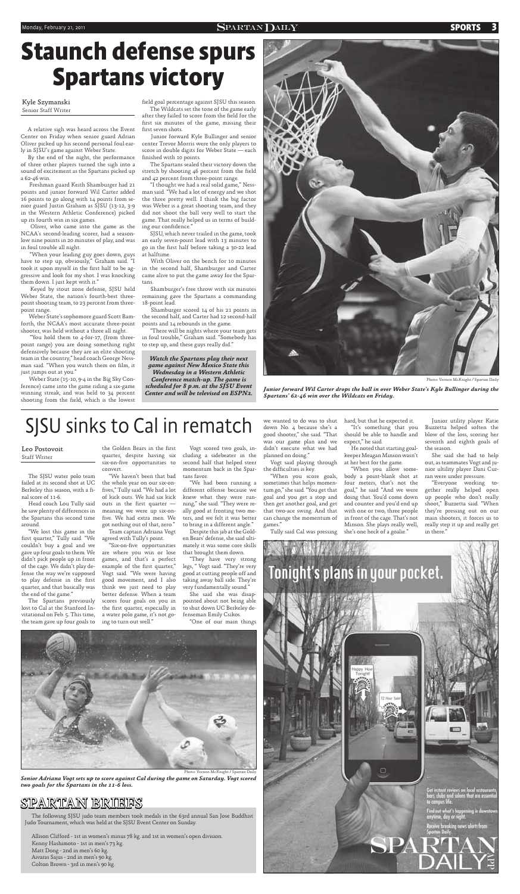### Monday, February 21, 2011 **SPORTS 3**

# **Staunch defense spurs Spartans victory**

A relative sigh was heard across the Event Center on Friday when senior guard Adrian Oliver picked up his second personal foul early in SJSU's game against Weber State.

By the end of the night, the performance of three other players turned the sigh into a sound of excitement as the Spartans picked up a 62-46 win.

 Freshman guard Keith Shamburger had 21 points and junior forward Wil Carter added 16 points to go along with 14 points from senior guard Justin Graham as SJSU (13-12, 3-9 in the Western Athletic Conference) picked up its fourth win in six games.

 Oliver, who came into the game as the NCAA's second-leading scorer, had a seasonlow nine points in 20 minutes of play, and was in foul trouble all night.

 Weber State (15-10, 9-4 in the Big Sky Conference) came into the game riding a six-game winning streak, and was held to 34 percent shooting from the field, which is the lowest

field goal percentage against SJSU this season. The Wildcats set the tone of the game early

after they failed to score from the field for the first six minutes of the game, missing their first seven shots.

 "When your leading guy goes down, guys have to step up, obviously," Graham said. "I took it upon myself in the first half to be aggressive and look for my shot. I was knocking them down. I just kept with it."

 Junior forward Kyle Bullinger and senior center Trevor Morris were the only players to score in double digits for Weber State — each finished with 10 points.

 Keyed by stout zone defense, SJSU held Weber State, the nation's fourth-best threepoint shooting team, to 23 percent from threepoint range.

 "I thought we had a real solid game," Nessman said. "We had a lot of energy and we shot the three pretty well. I think the big factor was Weber is a great shooting team, and they did not shoot the ball very well to start the game. That really helped us in terms of building our confidence."

 Weber State's sophomore guard Scott Bamforth, the NCAA's most accurate three-point shooter, was held without a three all night.

 "You hold them to 4-for-17, (from threepoint range) you are doing something right defensively because they are an elite shooting team in the country," head coach George Nessman said. "When you watch them on film, it just jumps out at you."

he saw plenty of differences in meaning we were up six-on-"We haven't been that bad the whole year on our six-onfi ves," Tully said. "We had a lot of kick outs. We had six kick outs in the first quarter  $$ five. We had extra men. We

 The Spartans sealed their victory down the stretch by shooting 46 percent from the field and 42 percent from three-point range.

the Golden Bears in the first quarter, despite having six six-on-five opportunities to convert.

agreed with Tully's point. "Six-on-five opportunities

 SJSU, which never trailed in the game, took an early seven-point lead with 13 minutes to go in the first half before taking a 30-22 lead at halftime.

 With Oliver on the bench for 10 minutes in the second half, Shamburger and Carter came alive to put the game away for the Spartans.

 Shamburger's free throw with six minutes remaining gave the Spartans a commanding 18-point lead.

> Vogt said playing through the difficulties is key.

 Shamburger scored 14 of his 21 points in the second half, and Carter had 12 second-half points and 14 rebounds in the game.

 "There will be nights where your team gets in foul trouble," Graham said. "Somebody has to step up, and these guys really did."

Photo: Vernon McKnight / Spartan Daily

*Junior forward Wil Carter drops the ball in over Weber State's Kyle Bullinger during the Spartans' 62-46 win over the Wildcats on Friday.*

Kyle Szymanski Senior Staff Writer

> "Everyone working together really helped open up people who don't really shoot," Buzzetta said. "When they're pressing out on our main shooters, it forces us to really step it up and really get in there."

*Watch the Spartans play their next game against New Mexico State this Wednesday in a Western Athletic Conference match-up. The game is scheduled for 8 p.m. at the SJSU Event Center and will be televised on ESPN2.*



The SJSU water polo team failed at its second shot at UC Berkeley this season, with a final score of 11-6.

Head coach Lou Tully said the Spartans this second time

around.

"We lost this game in the first quarter," Tully said. "We couldn't buy a goal and we gave up four goals to them. We didn't pick people up in front of the cage. We didn't play defense the way we're supposed to play defense in the first quarter, and that basically was the end of the game."

The Spartans previously lost to Cal at the Stanford Invitational on Feb. 5. This time, the team gave up four goals to

got nothing out of that, zero." Team captain Adriana Vogt

are where you win or lose games, and that's a perfect example of the first quarter," Vogt said. "We were having good movement, and I also think we just need to play better defense. When a team scores four goals on you in the first quarter, especially in a water polo game, it's not going to turn out well."

Vogt scored two goals, including a sidebeater in the second half that helped steer momentum back in the Spartans favor.

"We had been running a different offense because we knew what they were running," she said. "They were really good at fronting two meters, and we felt it was better to bring in a different angle."

Despite this jab at the Golden Bears' defense, she said ultimately it was some core skills that brought them down.

"They have very strong legs, " Vogt said. "They're very good at cutting people off and taking away ball side. They're very fundamentally sound."

She said she was disappointed about not being able to shut down UC Berkeley defenseman Emily Csikos.

"One of our main things



we wanted to do was to shut down No. 4 because she's a good shooter," she said. "That was our game plan and we didn't execute what we had planned on doing."

"When you score goals, sometimes that helps momentum go," she said. "You get that goal and you get a stop and then get another goal, and get that two-ace swing. And that can change the momentum of

games." Tully said Cal was pressing

hard, but that he expected it. "It's something that you

should be able to handle and expect," he said. He noted that starting goalkeeper Meagan Minson wasn't

at her best for the game. "When you allow some-

body a point-blank shot at four meters, that's not the goal," he said "And we were doing that. You'd come down and counter and you'd end up with one or two, three people in front of the cage. That's not

Minson. She plays really well, she's one heck of a goalie."



Junior utility player Katie Buzzetta helped soften the blow of the loss, scoring her seventh and eighth goals of the season.

She said she had to help out, as teammates Vogt and junior ultility player Dani Curran were under pressure.

### Leo Postovoit Staff Writer

Photo: Vernon McKnight / Spartan Daily

*Senior Adriana Vogt sets up to score against Cal during the game on Saturday. Vogt scored two goals for the Spartans in the 11-6 loss.*

### SPARTAN BRIEFS

The following SJSU judo team members took medals in the 63rd annual San Jose Buddhist Judo Tournament, which was held at the SJSU Event Center on Sunday.

Allison Clifford - 1st in women's minus 78 kg. and 1st in women's open division. Kenny Hashimoto - 1st in men's 73 kg. Matt Dong - 2nd in men's 60 kg. Aivaras Sajus - 2nd in men's 90 kg. Colton Brown - 3rd in men's 90 kg.

# SJSU sinks to Cal in rematch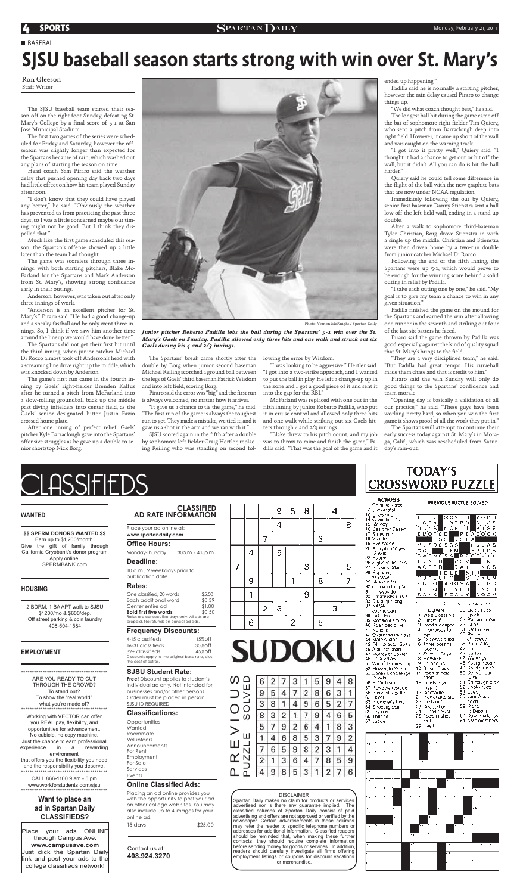## **4 SPORTS** Monday, February 21, 2011



**CLASSIFIED AD RATE INFORMATION** 



**TODAY'S CROSSWORD PUZZLE** 

### **ACROSS** PREVIOUS PUZZLE SOLVED Chinase tempte Slicker stall 10 Jogennon

FELL MONTH MORS

Place your ad online at: **www.spartandaily.com**

### **Office Hours:**

Monday-Thursday 1:30p.m. - 4:15p.m.

### **Deadline:**

10 a.m., 2 weekdays prior to publication date.

### **Rates:**

| One classified, 20 words                     | \$5.50 |
|----------------------------------------------|--------|
| Each additional word                         | \$0.39 |
| Center entire ad                             | \$1.00 |
| Bold first five words                        | \$0.50 |
| Rates are consecutive days only. All ads are |        |
| prepaid. No refunds on cancelled ads.        |        |
|                                              |        |

**Opportunities Wanted** Roommate Volunteers Announcements For Rent Employment For Sale Services Events

### **Frequency Discounts:**

4-15 classifieds 15%off 16-31 classifieds 30%off 32+ classifieds 45%off Discounts apply to the original base rate, plus the cost of extras.

### **SJSU Student Rate:**

**Free!** Discount applies to student's individual ad only. Not intended for businesses and/or other persons. Order must be placed in person. SJSU ID REQUIRED.

### **Classifications:**

### **Online Classified Ads:**

Placing an ad online provides you with the opportunity to post your ad on other college web sites. You may also include up to 4 images for your online ad.

15 days \$25.00

Contact us at: **408.924.3270**



# **SUDOKU**

P R E V I O U S

⋂

 $\Omega$ 

| $\mathsf{\Gamma}% _{2}$                                  |   |   |   |   | 5 |   |   | 8 |
|----------------------------------------------------------|---|---|---|---|---|---|---|---|
| Ш<br>$\bf\bf{)}$<br>$\Box$                               |   |   |   |   | 8 | 6 | 3 |   |
|                                                          |   |   |   |   |   |   |   |   |
| C<br>ၯ                                                   |   |   |   |   |   |   |   | 5 |
|                                                          |   |   | 9 |   |   |   |   | 3 |
| Ш                                                        |   |   |   |   |   |   | 9 | 2 |
| $\overline{\phantom{0}}$<br>$\overline{\bm{\mathsf{N}}}$ |   | 6 |   |   |   |   |   |   |
| $\overline{\mathsf{N}}$                                  | 2 |   | 3 | 6 |   | 8 | b | 9 |
| Ξ<br>Δ                                                   |   |   |   |   |   |   |   | 6 |
|                                                          |   |   |   |   |   |   |   |   |

### DISCLAIMER

## SJSU baseball season starts strong with win over St. Mary's **BASEBALL**

Spartan Daily makes no claim for products or services advertised nor is there any guarantee implied. The classified columns of Spartan Daily consist of paid advertising and offers are not approved or verified by the newspaper. Certain advertisements in these columns may refer the reader to specific telephone numbers or addresses for additional information. Classified readers should be reminded that, when making these further contacts, they should require complete information before sending money for goods or services. In addition, readers should carefully investigate all firms offering employment listings or coupons for discount vacations or merchandise.

| <b>AS RAILLY LATE</b>                        | Lj0               |
|----------------------------------------------|-------------------|
| 15 Melecy                                    |                   |
| 16 Designer Cassini                          | α×                |
| 17. Stowariat                                | Èλ                |
| 18 Vee le                                    |                   |
| 19 Evelshade                                 | ν.                |
| 20 Abrupt changes                            | oκ                |
| $2$ wds $1$                                  | Q۸                |
| 23 Наррелі                                   |                   |
| 26 Siglis of distress                        | ι,:               |
| 27. Pi <sup>s</sup> ysicial Mach             | АÇ                |
| 26. Sig rame                                 |                   |
| in soccei                                    | с.                |
| 28 Mexican Mrs.                              | E)C               |
| 30 Corra In the polic                        | υį                |
| 31 — svorido                                 |                   |
| 32 Paramedio sistem                          | <u>s )</u>        |
| 33. Bar sing biong                           | .,                |
| 37 NASA                                      |                   |
| COLME (DOT                                   |                   |
| 38 Latin Ho                                  | N<br>1            |
| 39. Monsieurs wina.                          | 2<br>$\mathbf{I}$ |
| 40 Koandiscipline                            | 3.5               |
| 41 Noticies                                  | $4 - 1$           |
| 43 Overhead (adv.ays                         | ı                 |
| 44. Maie silioba                             | ŗ<br>ь.           |
| 45 Film prectar Spike                        | 61                |
| 46 Alps, for short                           | ÿ                 |
| 47. Musray or Baxler                         | r                 |
| 16 Daik yellow                               | 8 :<br>9 :        |
| at Winter Games org.                         |                   |
| 52 Flower, In Yvelle <sup>1</sup>            | 10 S              |
| 53 Senivas cha lenge                         |                   |
|                                              | η                 |
| 3 wds i<br>56 Suffering                      | D<br>12.          |
|                                              | ¦,                |
| 57. Powdery residue.<br>58. Blanded together | յ» է<br>21 Տ      |
| 62.<br>. maal                                | z,                |

63 Prompret's hint

64 Shooting sun ûS Ory nin 66. That an 67 своде

| 458<br><b>NOF</b><br>ию<br>εD<br>т<br>s    | Ĥise<br>ΤĪ<br>ΡΕΛΕΘΟΚ<br>: 5 L<br>А |
|--------------------------------------------|-------------------------------------|
| s.<br>EDS<br>DE<br>DР<br>ÈМ                | - A S<br>ш.<br>14 I<br>UΑ           |
| V.<br>-S.<br>L ME S<br>D.                  | B.E.O.F<br>м.<br>-1<br>POM<br>E N.  |
| ċ<br>Ē<br>Гı<br>D L<br>п                   | 5 G S<br>A<br>ı<br>ı<br>s           |
| Ë.<br>Ĥ<br>٠y<br>J<br>ліп омід<br>G) H, O, | Ś<br>POKEN<br>١.<br>E R O           |
| G<br>U E O<br>Ń<br>ð<br>κ                  | N 8 H<br>V E.<br>н<br>Ŀ<br>oо       |
| 227                                        | n episco<br>50 m<br>mar za          |
| ⊡QWN<br>West Coast his                     | 30 Kaurs, sono<br>speak             |
| t knew it!                                 | 32. Poinan crater                   |
| Hoodis weapon                              | 33 Grpe                             |
| impervicus lo                              | 34 UV blocker                       |
| nghi                                       | 35 Perses                           |
| Express doubts                             | at Speed.                           |
| Inree oceans                               | 36 Poter alloy                      |
| toen it                                    | 42. Cruz                            |
| Zary<br>Raye                               | 46 Nurleg                           |
| Yonklike                                   | 47. Wain hos                        |
| Forbidding                                 | 48 Moung frocher                    |
| Smaer Fleek                                | 49 Spudlgam sh                      |
| Psois mindle i                             | 50 Dens or bur-                     |
| hame                                       | <b>IUWS</b>                         |
| Diriists agam                              | 51. Chingaign topic                 |
| (hy:h)                                     | 52 Unebslructs                      |
| Discharge                                  | 54 Lyery                            |
| Mait al-àits siar                          | 95. Jame Austen                     |
| Firets cut                                 | novel                               |
| laçaded on                                 | 59 Pight,                           |
| ozvabiloru —                               | to Datsbin                          |
| Football show                              | 60 Down goddess.                    |
| 77 H                                       | 81.AMA membars -                    |

29 Say 1

A:の 75 25



The first two games of the series were scheduled for Friday and Saturday, however the offseason was slightly longer than expected for the Spartans because of rain, which washed out any plans of starting the season on time.

Place your ads ONLINE through Campus Ave: **www.campusave.com** Just click the Spartan Daily link and post your ads to the college classifieds network!

Much like the first game scheduled this season, the Spartan's offense showed up a little later than the team had thought.



**WANTED**

### **\$\$ SPERM DONORS WANTED \$\$**

Earn up to \$1,200/month. Give the gift of family through California Cryobank's donor program Apply online: SPERMBANK.com

### **HOUSING**

2 BDRM, 1 BA APT walk to SJSU \$1200/mo & \$600/dep. Off street parking & coin laundry 408-504-1584

The Spartans did not get their first hit until the third inning, when junior catcher Michael Di Rocco almost took off Anderson's head with a screaming line drive right up the middle, which was knocked down by Anderson.

\*\*\*\*\*\*\*\*\*\*\*\*\*\*\*\*\*\*\*\*\*\*\*\*\*\*\*\*\*\*\*\*\*\*\*\*\*\*\*\*

ARE YOU READY TO CUT THROUGH THE CROWD? To stand out? To show the "real world" what you're made of? \*\*\*\*\*\*\*\*\*\*\*\*\*\*\*\*\*\*\*\*\*\*\*\*\*\*\*\*\*\*\*\*\*\*\*\*\*\*\*\*

The game's first run came in the fourth inning by Gaels' right-fielder Brenden Kalfus after he turned a pitch from McFarland into a slow-rolling groundball back up the middle past diving infielders into center field, as the Gaels' senior designated hitter Justin Fazio crossed home plate.

The Spartans' break came shortly after the double by Borg when junior second baseman Michael Reiling scorched a ground ball between the legs of Gaels' third baseman Patrick Wisdom and into left field, scoring Borg.

Working with VECTOR can offer you REAL pay, flexibility, and opportunities for advancement. No cubicle, no copy machine. Just the chance to earn professional experience in a rewarding environment that offers you the flexibility you need and the responsibility you deserve. \*\*\*\*\*\*\*\*\*\*\*\*\*\*\*\*\*\*\*\*\*\*\*\*\*\*\*\*\*\*\*\*\*\*\*\*\*\*\*\*

Piraro said the error was "big" and the first run is always welcomed, no matter how it arrives.

SJSU scored again in the fifth after a double by sophomore left fielder Craig Hertler, replacing Reiling who was standing on second fol-

CALL 866-1100 9 am - 5 pm www.workforstudents.com/sjsu \*\*\*\*\*\*\*\*\*\*\*\*\*\*\*\*\*\*\*\*\*\*\*\*\*\*\*\*\*\*\*\*\*\*\*\*\*\*\*\*

### **EMPLOYMENT**

The SJSU baseball team started their season off on the right foot Sunday, defeating St. Mary's College by a final score of 5-1 at San Jose Municipal Stadium.

Head coach Sam Piraro said the weather delay that pushed opening day back two days had little effect on how his team played Sunday afternoon.

"I don't know that they could have played any better," he said. "Obviously the weather has prevented us from practicing the past three days, so I was a little concerned maybe our timing might not be good. But I think they dispelled that."

> Following the end of the fifth inning, the Spartans were up 5-1, which would prove to be enough for the winning score behind a solid outing in relief by Padilla.

> Padilla finished the game on the mound for the Spartans and earned the win after allowing one runner in the seventh and striking out four of the last six batters he faced.

> Piraro said the game thrown by Padilla was good, especially against the kind of quality squad that St. Mary's brings to the field.

The game was scoreless through three innings, with both starting pitchers, Blake Mc-Farland for the Spartans and Mark Anderson from St. Mary's, showing strong confidence early in their outings.

Anderson, however, was taken out after only three innings of work.

"Anderson is an excellent pitcher for St. Mary's," Piraro said. "He had a good change-up and a sneaky fastball and he only went three innings. So, I think if we saw him another time around the lineup we would have done better."

After one inning of perfect relief, Gaels' pitcher Kyle Barraclough gave into the Spartans' offensive struggles as he gave up a double to senior shortstop Nick Borg.



"It gave us a chance to tie the game," he said. "The first run of the game is always the toughest run to get. They made a mistake, we tied it, and it gave us a shot in the arm and we ran with it."

lowing the error by Wisdom.

"I was looking to be aggressive," Hertler said. "I got into a two-strike approach, and I wanted to put the ball in play. He left a change-up up in the zone and I got a good piece of it and sent it into the gap for the RBI."

McFarland was replaced with one out in the fifth inning by junior Roberto Padilla, who put it in cruise control and allowed only three hits and one walk while striking out six Gaels hitters through 4 and 2/3 innings.

ended up happening."

Padilla said he is normally a starting pitcher, however the rain delay caused Piraro to change things up.

"We did what coach thought best," he said.

The longest ball hit during the game came off the bat of sophomore right fielder Tim Quiery, who sent a pitch from Barraclough deep into right field. However, it came up short of the wall and was caught on the warning track.

"I got into it pretty well," Quiery said. "I thought it had a chance to get out or hit off the wall, but it didn't. All you can do is hit the ball harder."

Quiery said he could tell some difference in the flight of the ball with the new graphite bats that are now under NCAA regulation.

Immediately following the out by Quiery, senior first baseman Danny Stienstra sent a ball low off the left-field wall, ending in a stand-up double.

After a walk to sophomore third-baseman Tyler Christian, Borg drove Stienstra in with a single up the middle. Christian and Stienstra were then driven home by a two-run double from junior catcher Michael Di Rocco.

"Blake threw to his pitch count, and my job was to throw to mine and finish the game," Padilla said. "That was the goal of the game and it day's rain-out.

"I take each outing one by one," he said. "My goal is to give my team a chance to win in any given situation."

"They are a very disciplined team," he said. "But Padilla had great tempo. His curveball made them chase and that is credit to him."

Piraro said the win Sunday will only do good things to the Spartans' confidence and team morale.

"Opening day is basically a validation of all our practice," he said. "These guys have been working pretty hard, so when you win the first game it shows proof of all the work they put in."

The Spartans will attempt to continue their early success today against St. Mary's in Moraga, Calif., which was rescheduled from Satur-

Ron Gleeson Staff Writer

Photo: Vernon McKnight / Spartan Daily

*Junior pitcher Roberto Padilla lobs the ball during the Spartans' 5-1 win over the St. Mary's Gaels on Sunday. Padilla allowed only three hits and one walk and struck out six Gaels during his 4 and 2/3 innings.*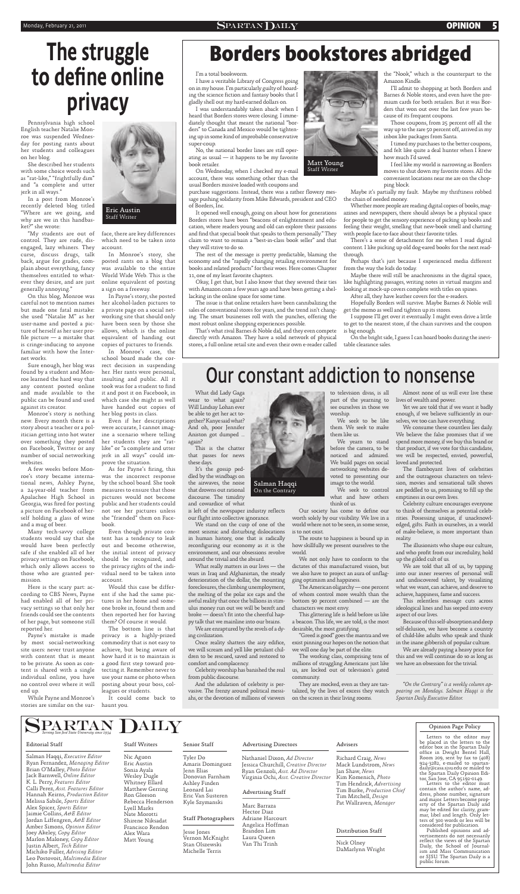### Monday, February 21, 2011 **CPINION**  $S$ PARTAN $D$ AILY **OPINION** 5

### I'm a total bookworm.

I have a veritable Library of Congress going on in my house. I'm particularly guilty of hoarding the science fiction and fantasy books that I gladly shell out my hard-earned dollars on.

I was understandably taken aback when I heard that Borders stores were closing. I immediately thought that meant the national "borders" to Canada and Mexico would be tightening up in some kind of improbable conservative super-coup.

purchase suggestions. Instead, there was a rather flowery message pushing solidarity from Mike Edwards, president and CEO of Borders, Inc.

No, the national border lines are still operating as usual — it happens to be my favorite book retailer.

On Wednesday, when I checked my e-mail account, there was something other than the usual Borders missive loaded with coupons and

It opened well enough, going on about how for generations Borders stores have been "beacons of enlightenment and education, where readers young and old can explore their passions and find that special book that speaks to them personally." They claim to want to remain a "best-in-class book seller" and that they will strive to do so.

The rest of the message is pretty predictable, blaming the economy and the "rapidly changing retailing environment for books and related products" for their woes. Here comes Chapter 11, one of my least favorite chapters.

Okay, I get that, but I also know that they severed their ties with Amazon.com a few years ago and have been getting a shellacking in the online space for some time.

The issue is that online retailers have been cannibalizing the sales of conventional stores for years, and the trend isn't changing. The smart businesses roll with the punches, offering the most robust online shopping experiences possible.

That's what rival Barnes & Noble did, and they even compete directly with Amazon. They have a solid network of physical stores, a full online retail site and even their own e-reader called

the "Nook," which is the counterpart to the Amazon Kindle.

I'll admit to shopping at both Borders and Barnes & Noble stores, and even have the premium cards for both retailers. But it was Borders that won out over the last few years because of its frequent coupons.

Those coupons, from 25 percent off all the way up to the rare 50 percent off, arrived in my inbox like packages from Santa.

I timed my purchases to the better coupons, and felt like quite a deal hunter when I knew how much I'd saved.

is left of the newspaper industry reflects our flight into collective ignorance. We stand on the cusp of one of the most seismic and disturbing dislocations in human history, one that is radically reconfiguring our economy as it is the environment, and our obsessions revolve around the trivial and the absurd. What really matters in our lives — the wars in Iraq and Afghanistan, the steady deterioration of the dollar, the mounting foreclosures, the climbing unemployment, the melting of the polar ice caps and the awful reality that once the billions in stimulus money run out we will be bereft and broke — doesn't fit into the cheerful happy talk that we mainline into our brains. We are enraptured by the revels of a dying civilization. Once reality shatters the airy edifice, we will scream and yell like petulant children to be rescued, saved and restored to comfort and complacency.

I feel like my world is narrowing as Borders moves to shut down my favorite stores. All the convenient locations near me are on the chopping block.

Maybe it's partially my fault. Maybe my thriftiness robbed the chain of needed money.

Whether more people are reading digital copies of books, magazines and newspapers, there should always be a physical space for people to get the sensory experience of picking up books and feeling their weight, smelling that new-book smell and chatting with people face-to-face about their favorite titles.

There's a sense of detachment for me when I read digital content. I like picking up old dog-eared books for the next readthrough.

Perhaps that's just because I experienced media different from the way the kids do today.

Maybe there will still be anachronisms in the digital space, like highlighting passages, writing notes in virtual margins and looking at mock-up covers complete with titles on spines.

After all, they have leather covers for the e-readers.

Hopefully Borders will survive. Maybe Barnes & Noble will get the memo as well and tighten up its stores.

> The flamboyant lives of celebrities and the outrageous characters on television, movies and sensational talk shows are peddled to us, promising to fill up the emptiness in our own lives.

I suppose I'll get over it eventually. I might even drive a little to get to the nearest store, if the chain survives and the coupon is big enough.

Our society has come to define our to think of themselves as potential celebworth solely by our visibility. We live in a rities. Possessing unique, if unacknowl-Celebrity culture encourages everyone edged, gifts. Faith in ourselves, in a world of make-believe, is more important than reality.

On the bright side, I guess I can hoard books during the inevitable clearance sales.

What did Lady Gaga wear to what again? Will Lindsay Lohan ever be able to get her act together? Kanye said what? And oh, poor Jennifer Aniston got dumped … again?

This is the chatter that passes for news these days.

It's the gossip peddled by the windbags on the airwaves, the noise that drowns out rational discourse. The timidity and cowardice of what

Celebrity worship has banished the real from public discourse.

And the adulation of celebrity is pervasive. The frenzy around political messiahs, or the devotion of millions of viewers

to television divas, is all part of the yearning to see ourselves in those we

worship.

We seek to be like them. We seek to make them like us.

We yearn to stand before the camera, to be noticed and admired. We build pages on social networking websites devoted to presenting our image to the world.

We seek to control what and how others think of us.

world where not to be seen, in some sense, is to not exist.

The route to happiness is bound up in how skillfully we present ourselves to the world.

We not only have to conform to the dictates of this manufactured vision, but we also have to project an aura of unflagging optimism and happiness.

The American oligarchy — one percent of whom control more wealth than the bottom 90 percent combined — are the characters we most envy.

This glittering life is held before us like a beacon. This life, we are told, is the most desirable, the most gratifying.

"Greed is good" goes the mantra and we exist pinning our hopes on the notion that we will one day be part of the elite.

The working class, comprising tens of millions of struggling Americans just like us, are locked out of television's gated community.

They are mocked, even as they are tantalized, by the lives of excess they watch on the screen in their living rooms.

Almost none of us will ever live these lives of wealth and power.

Yet we are told that if we want it badly enough, if we believe sufficiently in ourselves, we too can have everything.

We consume these countless lies daily. We believe the false promises that if we spend more money, if we buy this brand or that product, if we vote for this candidate, we will be respected, envied, powerful, loved and protected.

As for Payne's firing, this was the incorrect response by the school board. She took measures to ensure that those pictures would not become public and her students could not see her pictures unless she "friended" them on Face-

> The illusionists who shape our culture, and who profit from our incredulity, hold up the gilded cult of us.

> We are told that all of us, by tapping into our inner reserves of personal will and undiscovered talent, by visualizing what we want, can achieve, and deserve to achieve, happiness, fame and success.

> This relentless message cuts across ideological lines and has seeped into every aspect of our lives.

> Because of this self-absorption and deep self-delusion, we have become a country of child-like adults who speak and think in the inane gibberish of popular culture.

We are already paying a heavy price for this and we will continue do so as long as we have an obsession for the trivial.

*"On the Contrary" is a weekly column appearing on Mondays. Salman Haqqi is the Spartan Daily Executive Editor.*

| $\sum_{\textit{Serving San José State University since 1934}} \sum_{\textit{AtU}}$                                                                                                                                                                                                                                                                                                                                                                                                                                                                                                                                                   |                                                                                                                                                                                                                                                            |                                                                                                                                                                                                                                                    |                                                                                                                                                                                                                                                                                                                                     |                                                                                                                                                                                                                                                                               | Opinion Page Policy                                                                                                                                                                                                                                                                                                                                                                                                                                                                                                                                                                                                                                                                                                                                                                                                                                       |
|--------------------------------------------------------------------------------------------------------------------------------------------------------------------------------------------------------------------------------------------------------------------------------------------------------------------------------------------------------------------------------------------------------------------------------------------------------------------------------------------------------------------------------------------------------------------------------------------------------------------------------------|------------------------------------------------------------------------------------------------------------------------------------------------------------------------------------------------------------------------------------------------------------|----------------------------------------------------------------------------------------------------------------------------------------------------------------------------------------------------------------------------------------------------|-------------------------------------------------------------------------------------------------------------------------------------------------------------------------------------------------------------------------------------------------------------------------------------------------------------------------------------|-------------------------------------------------------------------------------------------------------------------------------------------------------------------------------------------------------------------------------------------------------------------------------|-----------------------------------------------------------------------------------------------------------------------------------------------------------------------------------------------------------------------------------------------------------------------------------------------------------------------------------------------------------------------------------------------------------------------------------------------------------------------------------------------------------------------------------------------------------------------------------------------------------------------------------------------------------------------------------------------------------------------------------------------------------------------------------------------------------------------------------------------------------|
| <b>Editorial Staff</b><br>Salman Haqqi, Executive Editor<br>Ryan Fernandez, Managing Editor<br>Brian O'Malley, Photo Editor<br>Jack Barnwell, Online Editor<br>K. L. Perry, Features Editor<br>Calli Perez, Asst. Features Editor<br>Hannah Keirns, Production Editor<br>Melissa Sabile, Sports Editor<br>Alex Spicer, Sports Editor<br>Jaimie Collins, A&E Editor<br>Jordan Liffengren, A&E Editor<br>Amber Simons, Opinion Editor<br>Joey Akeley, Copy Editor<br>Marlon Maloney, Copy Editor<br>Justin Albert, Tech Editor<br>Michiko Fuller, Advising Editor<br>Leo Postovoit, Multimedia Editor<br>John Russo, Multimedia Editor | <b>Staff Writers</b><br>Nic Aguon<br>Eric Austin<br>Sonia Ayala<br>Wesley Dugle<br>Whitney Ellard<br>Matthew Gerring<br>Ron Gleeson<br>Rebecca Henderson<br>Lyell Marks<br>Nate Morotti<br>Shirene Niksadat<br>Francisco Rendon<br>Alex Wara<br>Matt Young | Senior Staff<br>Tyler Do<br>Amaris Dominguez<br>Jenn Elias<br>Donovan Farnham<br>Ashley Finden<br>Leonard Lai<br>Eric Van Susteren<br>Kyle Szymanski<br>Staff Photographers<br>Jesse Jones<br>Vernon McKnight<br>Stan Olszewski<br>Michelle Terris | <b>Advertising Directors</b><br>Nathaniel Dixon, Ad Director<br>Jessica Churchill, Creative Director<br>Ryan Genzoli, Asst. Ad Director<br>Virginia Ochi, Asst. Creative Director<br><b>Advertising Staff</b><br>Marc Barraza<br>Hector Diaz<br>Adriane Harcourt<br>Angelica Hoffman<br>Brandon Lim<br>Laura Queen<br>Van Thi Trinh | Advisers<br>Richard Craig, News<br>Mack Lundstrom, News<br>Jan Shaw, News<br>Kim Komenich, Photo<br>Tim Hendrick, Advertising<br>Tim Burke, Production Chief<br>Tim Mitchell, Design<br>Pat Wallraven, Manager<br><b>Distribution Staff</b><br>Nick Olney<br>DaMarlynn Wright | Letters to the editor may<br>be placed in the letters to the<br>editor box in the Spartan Daily  <br>office in Dwight Bentel Hall,<br>Room 209, sent by fax to $(408)$<br>924-3282, e-mailed to spartan-<br>daily@casa.sjsu.edu or mailed to<br>the Spartan Daily Opinion Edi-<br>tor, San Jose, CA 95192-0149.<br>Letters to the editor must<br>contain the author's name, ad-<br>dress, phone number, signature<br>and major. Letters become prop-<br>erty of the Spartan Daily and<br>may be edited for clarity, gram-<br>mar, libel and length. Only let-<br>ters of 300 words or less will be<br>considered for publication.<br>Published opinions and ad-<br>vertisements do not necessarily<br>reflect the views of the Spartan<br>Daily, the School of Journal-<br>ism and Mass Communication<br>or SJSU. The Spartan Daily is a<br>public forum. |



Staff Writer

Salman Haqqi On the Contrary

# Our constant addiction to nonsense

Pennsylvania high school English teacher Natalie Monroe was suspended Wednesday for posting rants about her students and colleagues on her blog.

She described her students with some choice words such as "rat-like," "frightfully dim" and "a complete and utter jerk in all ways."

In a post from Monroe's recently deleted blog titled "Where are we going, and why are we in this handbasket?" she wrote:

"My students are out of control. They are rude, disengaged, lazy whiners. They curse, discuss drugs, talk back, argue for grades, complain about everything, fancy themselves entitled to whatever they desire, and are just generally annoying."

On this blog, Monroe was careful not to mention names but made one fatal mistake: she used "Natalie M" as her user-name and posted a picture of herself as her user profile picture  $-$  a mistake that is cringe-inducing to anyone familiar with how the Internet works.

Sure enough, her blog was found by a student and Monroe learned the hard way that any content posted online and made available to the public can be found and used against its creator.

Monroe's story is nothing new. Every month there is a story about a teacher or a politician getting into hot water over something they posted on Facebook, Twitter or any number of social networking websites.

A few weeks before Monroe's story became international news, Ashley Payne, a 24-year-old teacher from Apalachee High School in Georgia, was fired for posting a picture on Facebook of herself holding a glass of wine

and a mug of beer.

Many tech-savvy college students would say that she would have been perfectly safe if she enabled all of her privacy settings on Facebook, which only allows access to those who are granted permission.

Here is the scary part: according to CBS News, Payne had enabled all of her privacy settings so that only her friends could see the contents of her page, but someone still reported her.

Payne's mistake is made by most social-networking site users: never trust anyone with content that is meant to be private. As soon as content is shared with a single individual online, you have no control over where it will end up.

While Payne and Monroe's stories are similar on the surface, there are key differences which need to be taken into account.

In Monroe's story, she posted rants on a blog that was available to the entire World Wide Web. This is the online equivalent of posting a sign on a freeway.

In Payne's story, she posted her alcohol-laden pictures to a private page on a social networking site that should only have been seen by those she allows, which is the online equivalent of handing out copies of pictures to friends.

In Monroe's case, the school board made the correct decision in suspending her. Her rants were personal, insulting and public. All it took was for a student to find it and post it on Facebook, in which case she might as well have handed out copies of her blog posts in class.

Even if her descriptions were accurate, I cannot imagine a scenario where telling her students they are "ratlike" or "a complete and utter jerk in all ways" could improve the situation.

book.

Even though private content has a tendency to leak out and become otherwise, the initial intent of privacy should be recognized, and the privacy rights of the individual need to be taken into account.

Would this case be different if she had the same pictures in her home and someone broke in, found them and then reported her for having them? Of course it would.

The bottom line is that privacy is a highly-prized commodity that is not easy to achieve, but being aware of how hard it is to maintain is a good first step toward protecting it. Remember never to use your name or photo when posting about your boss, colleagues or students.

It could come back to haunt you.

# The struggle to define online privacy

# **Borders bookstores abridged**



Eric Austin Staff Writer